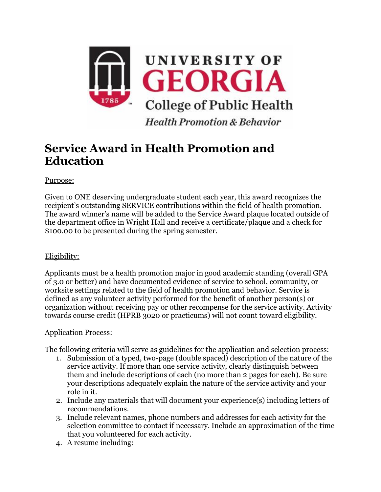

## **Service Award in Health Promotion and Education**

Purpose:

Given to ONE deserving undergraduate student each year, this award recognizes the recipient's outstanding SERVICE contributions within the field of health promotion. The award winner's name will be added to the Service Award plaque located outside of the department office in Wright Hall and receive a certificate/plaque and a check for \$100.00 to be presented during the spring semester.

## Eligibility:

Applicants must be a health promotion major in good academic standing (overall GPA of 3.0 or better) and have documented evidence of service to school, community, or worksite settings related to the field of health promotion and behavior. Service is defined as any volunteer activity performed for the benefit of another person(s) or organization without receiving pay or other recompense for the service activity. Activity towards course credit (HPRB 3020 or practicums) will not count toward eligibility.

## Application Process:

The following criteria will serve as guidelines for the application and selection process:

- 1. Submission of a typed, two-page (double spaced) description of the nature of the service activity. If more than one service activity, clearly distinguish between them and include descriptions of each (no more than 2 pages for each). Be sure your descriptions adequately explain the nature of the service activity and your role in it.
- 2. Include any materials that will document your experience(s) including letters of recommendations.
- 3. Include relevant names, phone numbers and addresses for each activity for the selection committee to contact if necessary. Include an approximation of the time that you volunteered for each activity.
- 4. A resume including: